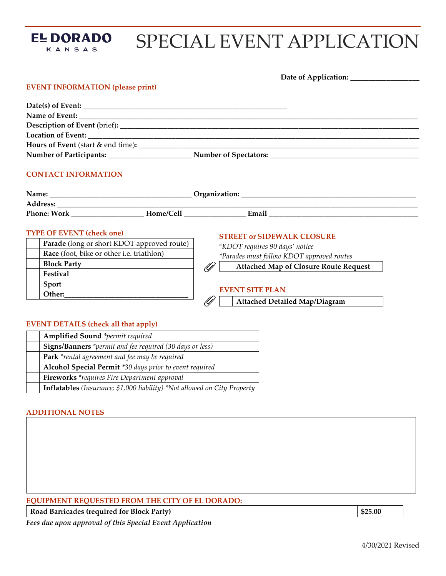

# SPECIAL EVENT APPLICATION

|                                                                                | Date of Application: _______________                                |
|--------------------------------------------------------------------------------|---------------------------------------------------------------------|
| <b>EVENT INFORMATION (please print)</b>                                        |                                                                     |
|                                                                                |                                                                     |
|                                                                                |                                                                     |
|                                                                                |                                                                     |
|                                                                                |                                                                     |
|                                                                                |                                                                     |
|                                                                                |                                                                     |
| <b>CONTACT INFORMATION</b>                                                     |                                                                     |
|                                                                                |                                                                     |
|                                                                                |                                                                     |
| <b>TYPE OF EVENT (check one)</b><br>Parade (long or short KDOT approved route) | <b>STREET or SIDEWALK CLOSURE</b><br>*KDOT requires 90 days' notice |
| Race (foot, bike or other i.e. triathlon)                                      | *Parades must follow KDOT approved routes                           |
| <b>Block Party</b>                                                             | <b>Attached Map of Closure Route Request</b>                        |
| Festival                                                                       |                                                                     |

 $\mathscr{D}$ 

### **EVENT SITE PLAN**

**Attached Detailed Map/Diagram** 

## **EVENT DETAILS (check all that apply)**

| <b>Amplified Sound</b> *permit required                                         |
|---------------------------------------------------------------------------------|
| Signs/Banners *permit and fee required (30 days or less)                        |
| Park *rental agreement and fee may be required                                  |
| Alcohol Special Permit *30 days prior to event required                         |
| <b>Fireworks</b> *requires Fire Department approval                             |
| <b>Inflatables</b> (Insurance; \$1,000 liability) *Not allowed on City Property |

#### **ADDITIONAL NOTES**

**Sport Other:** 

## **EQUIPMENT REQUESTED FROM THE CITY OF EL DORADO:**

**Road Barricades (required for Block Party) \$25.00** 

*Fees due upon approval of this Special Event Application*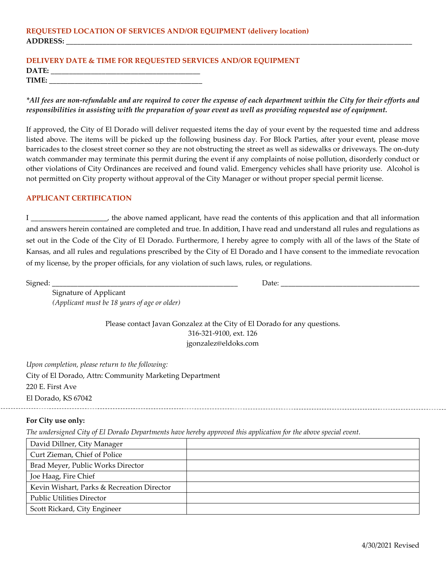### **REQUESTED LOCATION OF SERVICES AND/OR EQUIPMENT (delivery location) ADDRESS: \_\_\_\_\_\_\_\_\_\_\_\_\_\_\_\_\_\_\_\_\_\_\_\_\_\_\_\_\_\_\_\_\_\_\_\_\_\_\_\_\_\_\_\_\_\_\_\_\_\_\_\_\_\_\_\_\_\_\_\_\_\_\_\_\_\_\_\_\_\_\_\_\_\_\_\_\_\_\_\_\_\_\_\_\_\_\_\_\_\_\_\_\_\_\_**

### **DELIVERY DATE & TIME FOR REQUESTED SERVICES AND/OR EQUIPMENT** DATE: **TIME:**  $\blacksquare$

*\*All fees are non-refundable and are required to cover the expense of each department within the City for their efforts and responsibilities in assisting with the preparation of your event as well as providing requested use of equipment.* 

If approved, the City of El Dorado will deliver requested items the day of your event by the requested time and address listed above. The items will be picked up the following business day. For Block Parties, after your event, please move barricades to the closest street corner so they are not obstructing the street as well as sidewalks or driveways. The on-duty watch commander may terminate this permit during the event if any complaints of noise pollution, disorderly conduct or other violations of City Ordinances are received and found valid. Emergency vehicles shall have priority use. Alcohol is not permitted on City property without approval of the City Manager or without proper special permit license.

#### **APPLICANT CERTIFICATION**

I \_\_\_\_\_\_\_\_\_\_\_\_\_\_\_\_\_\_\_\_\_, the above named applicant, have read the contents of this application and that all information and answers herein contained are completed and true. In addition, I have read and understand all rules and regulations as set out in the Code of the City of El Dorado. Furthermore, I hereby agree to comply with all of the laws of the State of Kansas, and all rules and regulations prescribed by the City of El Dorado and I have consent to the immediate revocation of my license, by the proper officials, for any violation of such laws, rules, or regulations.

 $\text{Size}_{\text{signal}}$ .  $\text{Date}:$   $\text{Date}:$   $\text{Date}:$   $\text{Date}:$   $\text{Date}:$   $\text{Date}:$   $\text{Date}:$   $\text{Date}:$   $\text{Date}:$   $\text{Date}:$   $\text{Date}:$   $\text{Date}:$   $\text{Date}:$   $\text{Date}:$   $\text{Date}:$   $\text{Date}:$   $\text{Date}:$   $\text{Date}:$   $\text{Date}:$   $\text{Date}:$   $\text{Date}:$   $\text{Date}:$   $\text{Date}:$   $\text{Date}:$   $\text{Date}:$   $\text{Date}:$ 

Signature of Applicant *(Applicant must be 18 years of age or older)*

> Please contact Javan Gonzalez at the City of El Dorado for any questions. 316-321-9100, ext. 126 jgonzalez@eldoks.com

*Upon completion, please return to the following:* City of El Dorado, Attn: Community Marketing Department 220 E. First Ave El Dorado, KS 67042

#### **For City use only:**

*The undersigned City of El Dorado Departments have hereby approved this application for the above special event.*

| David Dillner, City Manager                |  |
|--------------------------------------------|--|
| Curt Zieman, Chief of Police               |  |
| Brad Meyer, Public Works Director          |  |
| Joe Haag, Fire Chief                       |  |
| Kevin Wishart, Parks & Recreation Director |  |
| <b>Public Utilities Director</b>           |  |
| Scott Rickard, City Engineer               |  |